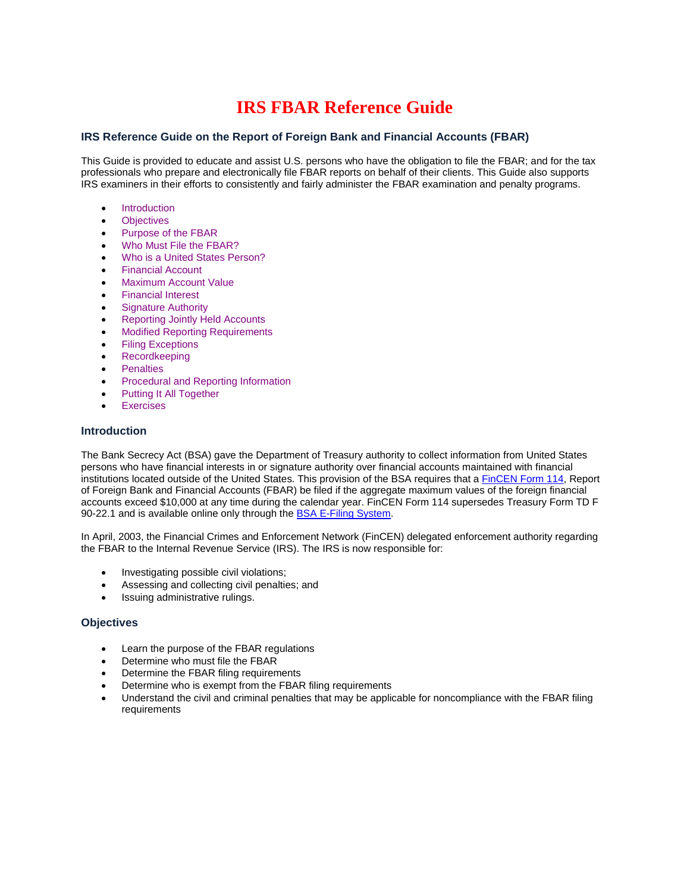# **IRS FBAR Reference Guide**

# **IRS Reference Guide on the Report of Foreign Bank and Financial Accounts (FBAR)**

This Guide is provided to educate and assist U.S. persons who have the obligation to file the FBAR; and for the tax professionals who prepare and electronically file FBAR reports on behalf of their clients. This Guide also supports IRS examiners in their efforts to consistently and fairly administer the FBAR examination and penalty programs.

- **Introduction**
- **Objectives**
- Purpose of the FBAR
- Who Must File the FBAR?
- Who is a United States Person?
- Financial Account
- Maximum Account Value
- Financial Interest
- Signature Authority
- Reporting Jointly Held Accounts
- Modified Reporting Requirements
- Filing Exceptions
- Recordkeeping
- Penalties
- Procedural and Reporting Information
- Putting It All Together
- Exercises

#### **Introduction**

The Bank Secrecy Act (BSA) gave the Department of Treasury authority to collect information from United States persons who have financial interests in or signature authority over financial accounts maintained with financial institutions located outside of the United States. This provision of the BSA requires that [a FinCEN Form](https://www.fiscal.treasury.gov/) 114, Report of Foreign Bank and Financial Accounts (FBAR) be filed if the aggregate maximum values of the foreign financial accounts exceed \$10,000 at any time during the calendar year. FinCEN Form 114 supersedes Treasury Form TD F 90-22.1 and is available online only through the **BSA E-Filing System**.

In April, 2003, the Financial Crimes and Enforcement Network (FinCEN) delegated enforcement authority regarding the FBAR to the Internal Revenue Service (IRS). The IRS is now responsible for:

- Investigating possible civil violations;
- Assessing and collecting civil penalties; and
- Issuing administrative rulings.

### **Objectives**

- Learn the purpose of the FBAR regulations
- Determine who must file the FBAR
- Determine the FBAR filing requirements
- Determine who is exempt from the FBAR filing requirements
- Understand the civil and criminal penalties that may be applicable for noncompliance with the FBAR filing requirements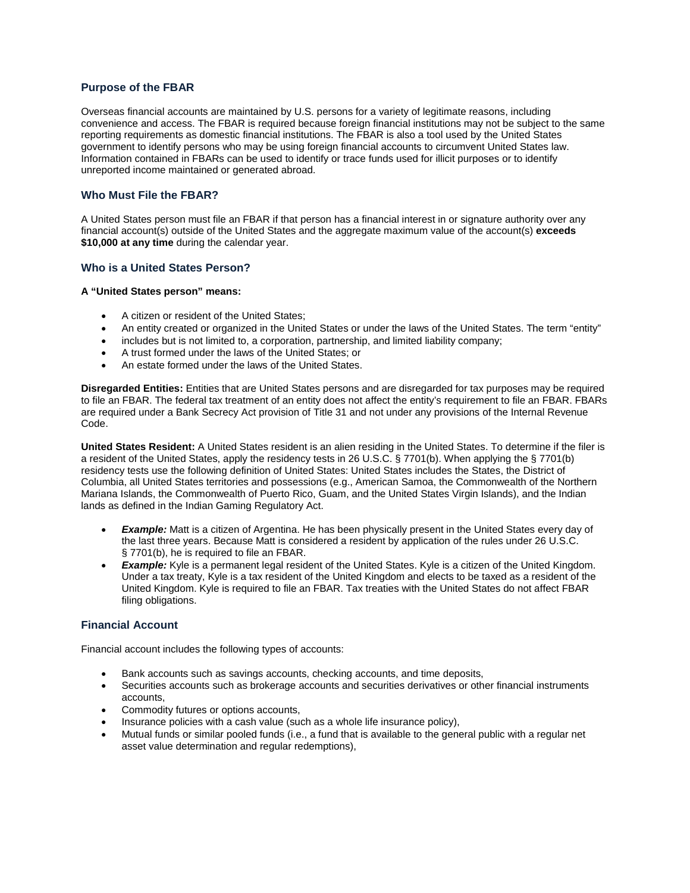# **Purpose of the FBAR**

Overseas financial accounts are maintained by U.S. persons for a variety of legitimate reasons, including convenience and access. The FBAR is required because foreign financial institutions may not be subject to the same reporting requirements as domestic financial institutions. The FBAR is also a tool used by the United States government to identify persons who may be using foreign financial accounts to circumvent United States law. Information contained in FBARs can be used to identify or trace funds used for illicit purposes or to identify unreported income maintained or generated abroad.

## **Who Must File the FBAR?**

A United States person must file an FBAR if that person has a financial interest in or signature authority over any financial account(s) outside of the United States and the aggregate maximum value of the account(s) **exceeds \$10,000 at any time** during the calendar year.

## **Who is a United States Person?**

#### **A "United States person" means:**

- A citizen or resident of the United States;
- An entity created or organized in the United States or under the laws of the United States. The term "entity"
- includes but is not limited to, a corporation, partnership, and limited liability company;
- A trust formed under the laws of the United States; or
- An estate formed under the laws of the United States.

**Disregarded Entities:** Entities that are United States persons and are disregarded for tax purposes may be required to file an FBAR. The federal tax treatment of an entity does not affect the entity's requirement to file an FBAR. FBARs are required under a Bank Secrecy Act provision of Title 31 and not under any provisions of the Internal Revenue Code.

**United States Resident:** A United States resident is an alien residing in the United States. To determine if the filer is a resident of the United States, apply the residency tests in 26 U.S.C. § 7701(b). When applying the § 7701(b) residency tests use the following definition of United States: United States includes the States, the District of Columbia, all United States territories and possessions (e.g., American Samoa, the Commonwealth of the Northern Mariana Islands, the Commonwealth of Puerto Rico, Guam, and the United States Virgin Islands), and the Indian lands as defined in the Indian Gaming Regulatory Act.

- **Example:** Matt is a citizen of Argentina. He has been physically present in the United States every day of the last three years. Because Matt is considered a resident by application of the rules under 26 U.S.C. § 7701(b), he is required to file an FBAR.
- **Example:** Kyle is a permanent legal resident of the United States. Kyle is a citizen of the United Kingdom. Under a tax treaty, Kyle is a tax resident of the United Kingdom and elects to be taxed as a resident of the United Kingdom. Kyle is required to file an FBAR. Tax treaties with the United States do not affect FBAR filing obligations.

## **Financial Account**

Financial account includes the following types of accounts:

- Bank accounts such as savings accounts, checking accounts, and time deposits,
- Securities accounts such as brokerage accounts and securities derivatives or other financial instruments accounts,
- Commodity futures or options accounts,
- Insurance policies with a cash value (such as a whole life insurance policy),
- Mutual funds or similar pooled funds (i.e., a fund that is available to the general public with a regular net asset value determination and regular redemptions),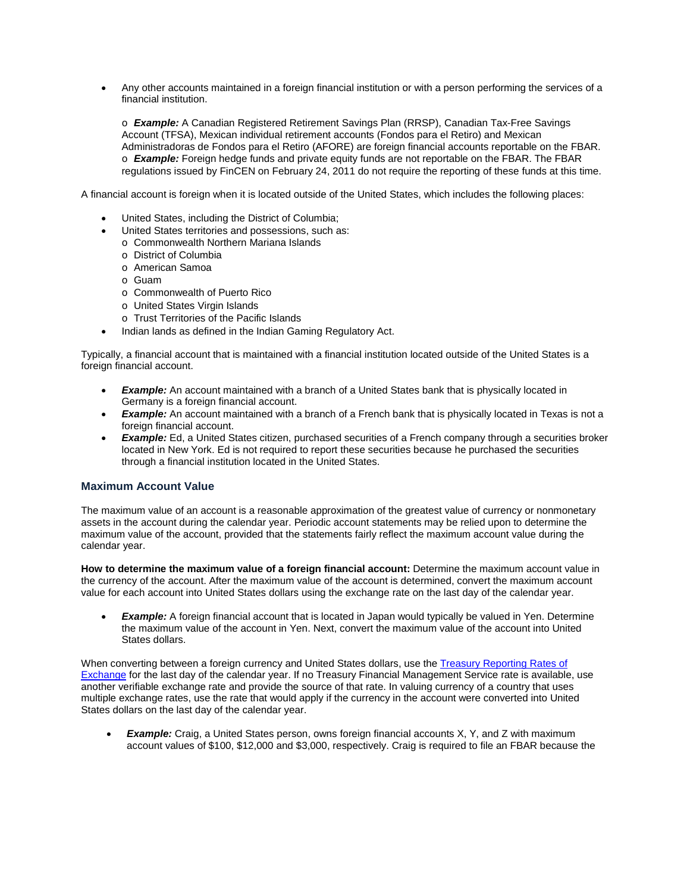• Any other accounts maintained in a foreign financial institution or with a person performing the services of a financial institution.

o *Example:* A Canadian Registered Retirement Savings Plan (RRSP), Canadian Tax-Free Savings Account (TFSA), Mexican individual retirement accounts (Fondos para el Retiro) and Mexican Administradoras de Fondos para el Retiro (AFORE) are foreign financial accounts reportable on the FBAR. o *Example:* Foreign hedge funds and private equity funds are not reportable on the FBAR. The FBAR regulations issued by FinCEN on February 24, 2011 do not require the reporting of these funds at this time.

A financial account is foreign when it is located outside of the United States, which includes the following places:

- United States, including the District of Columbia;
- United States territories and possessions, such as:
	- o Commonwealth Northern Mariana Islands
	- o District of Columbia
	- o American Samoa
	- o Guam
	- o Commonwealth of Puerto Rico
	- o United States Virgin Islands
	- o Trust Territories of the Pacific Islands
- Indian lands as defined in the Indian Gaming Regulatory Act.

Typically, a financial account that is maintained with a financial institution located outside of the United States is a foreign financial account.

- **Example:** An account maintained with a branch of a United States bank that is physically located in Germany is a foreign financial account.
- *Example:* An account maintained with a branch of a French bank that is physically located in Texas is not a foreign financial account.
- **Example:** Ed, a United States citizen, purchased securities of a French company through a securities broker located in New York. Ed is not required to report these securities because he purchased the securities through a financial institution located in the United States.

#### **Maximum Account Value**

The maximum value of an account is a reasonable approximation of the greatest value of currency or nonmonetary assets in the account during the calendar year. Periodic account statements may be relied upon to determine the maximum value of the account, provided that the statements fairly reflect the maximum account value during the calendar year.

**How to determine the maximum value of a foreign financial account:** Determine the maximum account value in the currency of the account. After the maximum value of the account is determined, convert the maximum account value for each account into United States dollars using the exchange rate on the last day of the calendar year.

**Example:** A foreign financial account that is located in Japan would typically be valued in Yen. Determine the maximum value of the account in Yen. Next, convert the maximum value of the account into United States dollars.

When converting between a foreign currency and United States dollars, use the Treasury Reporting Rates of [Exchange](https://www.fiscal.treasury.gov/) for the last day of the calendar year. If no Treasury Financial Management Service rate is available, use another verifiable exchange rate and provide the source of that rate. In valuing currency of a country that uses multiple exchange rates, use the rate that would apply if the currency in the account were converted into United States dollars on the last day of the calendar year.

**Example:** Craig, a United States person, owns foreign financial accounts X, Y, and Z with maximum account values of \$100, \$12,000 and \$3,000, respectively. Craig is required to file an FBAR because the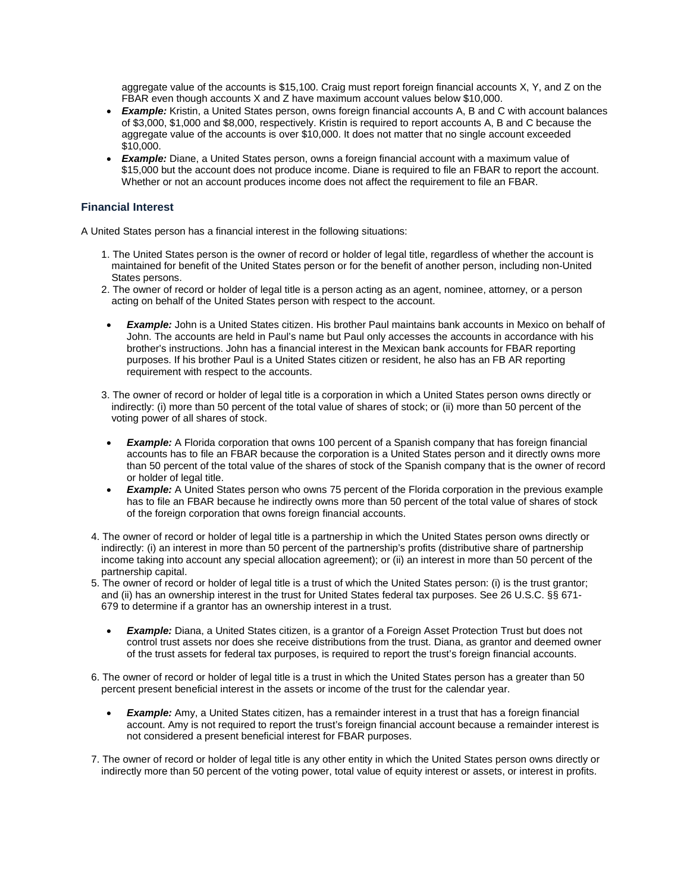aggregate value of the accounts is \$15,100. Craig must report foreign financial accounts X, Y, and Z on the FBAR even though accounts X and Z have maximum account values below \$10,000.

- *Example:* Kristin, a United States person, owns foreign financial accounts A, B and C with account balances of \$3,000, \$1,000 and \$8,000, respectively. Kristin is required to report accounts A, B and C because the aggregate value of the accounts is over \$10,000. It does not matter that no single account exceeded \$10,000.
- *Example:* Diane, a United States person, owns a foreign financial account with a maximum value of \$15,000 but the account does not produce income. Diane is required to file an FBAR to report the account. Whether or not an account produces income does not affect the requirement to file an FBAR.

## **Financial Interest**

A United States person has a financial interest in the following situations:

- 1. The United States person is the owner of record or holder of legal title, regardless of whether the account is maintained for benefit of the United States person or for the benefit of another person, including non-United States persons.
- 2. The owner of record or holder of legal title is a person acting as an agent, nominee, attorney, or a person acting on behalf of the United States person with respect to the account.
- *Example:* John is a United States citizen. His brother Paul maintains bank accounts in Mexico on behalf of John. The accounts are held in Paul's name but Paul only accesses the accounts in accordance with his brother's instructions. John has a financial interest in the Mexican bank accounts for FBAR reporting purposes. If his brother Paul is a United States citizen or resident, he also has an FB AR reporting requirement with respect to the accounts.
- 3. The owner of record or holder of legal title is a corporation in which a United States person owns directly or indirectly: (i) more than 50 percent of the total value of shares of stock; or (ii) more than 50 percent of the voting power of all shares of stock.
- **Example:** A Florida corporation that owns 100 percent of a Spanish company that has foreign financial accounts has to file an FBAR because the corporation is a United States person and it directly owns more than 50 percent of the total value of the shares of stock of the Spanish company that is the owner of record or holder of legal title.
- **Example:** A United States person who owns 75 percent of the Florida corporation in the previous example has to file an FBAR because he indirectly owns more than 50 percent of the total value of shares of stock of the foreign corporation that owns foreign financial accounts.
- 4. The owner of record or holder of legal title is a partnership in which the United States person owns directly or indirectly: (i) an interest in more than 50 percent of the partnership's profits (distributive share of partnership income taking into account any special allocation agreement); or (ii) an interest in more than 50 percent of the partnership capital.
- 5. The owner of record or holder of legal title is a trust of which the United States person: (i) is the trust grantor; and (ii) has an ownership interest in the trust for United States federal tax purposes. See 26 U.S.C. §§ 671- 679 to determine if a grantor has an ownership interest in a trust.
	- **Example:** Diana, a United States citizen, is a grantor of a Foreign Asset Protection Trust but does not control trust assets nor does she receive distributions from the trust. Diana, as grantor and deemed owner of the trust assets for federal tax purposes, is required to report the trust's foreign financial accounts.
- 6. The owner of record or holder of legal title is a trust in which the United States person has a greater than 50 percent present beneficial interest in the assets or income of the trust for the calendar year.
	- *Example:* Amy, a United States citizen, has a remainder interest in a trust that has a foreign financial account. Amy is not required to report the trust's foreign financial account because a remainder interest is not considered a present beneficial interest for FBAR purposes.
- 7. The owner of record or holder of legal title is any other entity in which the United States person owns directly or indirectly more than 50 percent of the voting power, total value of equity interest or assets, or interest in profits.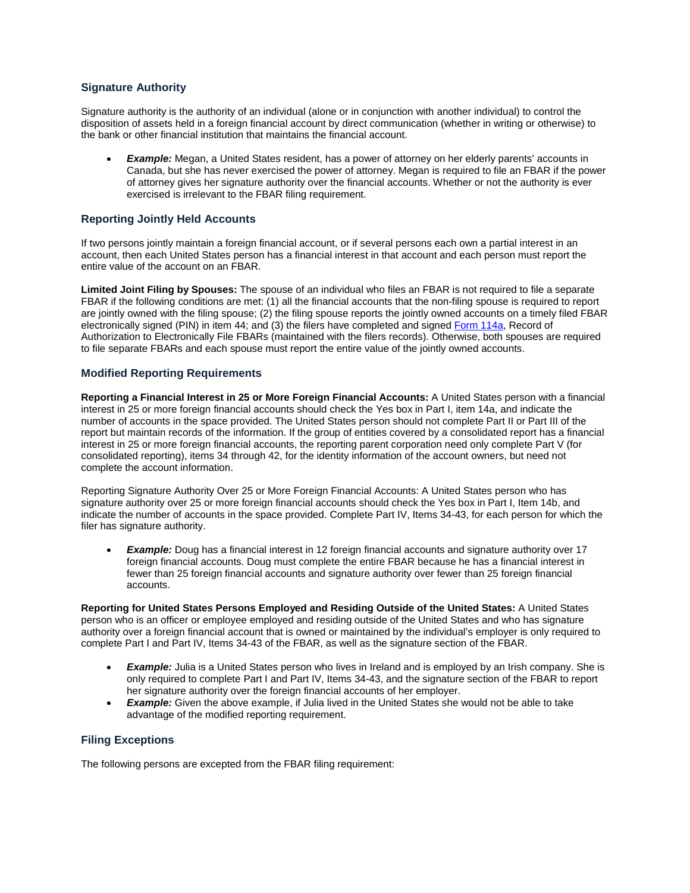# **Signature Authority**

Signature authority is the authority of an individual (alone or in conjunction with another individual) to control the disposition of assets held in a foreign financial account by direct communication (whether in writing or otherwise) to the bank or other financial institution that maintains the financial account.

**Example:** Megan, a United States resident, has a power of attorney on her elderly parents' accounts in Canada, but she has never exercised the power of attorney. Megan is required to file an FBAR if the power of attorney gives her signature authority over the financial accounts. Whether or not the authority is ever exercised is irrelevant to the FBAR filing requirement.

# **Reporting Jointly Held Accounts**

If two persons jointly maintain a foreign financial account, or if several persons each own a partial interest in an account, then each United States person has a financial interest in that account and each person must report the entire value of the account on an FBAR.

**Limited Joint Filing by Spouses:** The spouse of an individual who files an FBAR is not required to file a separate FBAR if the following conditions are met: (1) all the financial accounts that the non-filing spouse is required to report are jointly owned with the filing spouse; (2) the filing spouse reports the jointly owned accounts on a timely filed FBAR electronically signed (PIN) in item 44; and (3) the filers have completed and signed [Form 114a,](https://www.fiscal.treasury.gov/) Record of Authorization to Electronically File FBARs (maintained with the filers records). Otherwise, both spouses are required to file separate FBARs and each spouse must report the entire value of the jointly owned accounts.

## **Modified Reporting Requirements**

**Reporting a Financial Interest in 25 or More Foreign Financial Accounts:** A United States person with a financial interest in 25 or more foreign financial accounts should check the Yes box in Part I, item 14a, and indicate the number of accounts in the space provided. The United States person should not complete Part II or Part III of the report but maintain records of the information. If the group of entities covered by a consolidated report has a financial interest in 25 or more foreign financial accounts, the reporting parent corporation need only complete Part V (for consolidated reporting), items 34 through 42, for the identity information of the account owners, but need not complete the account information.

Reporting Signature Authority Over 25 or More Foreign Financial Accounts: A United States person who has signature authority over 25 or more foreign financial accounts should check the Yes box in Part I, Item 14b, and indicate the number of accounts in the space provided. Complete Part IV, Items 34-43, for each person for which the filer has signature authority.

**Example:** Doug has a financial interest in 12 foreign financial accounts and signature authority over 17 foreign financial accounts. Doug must complete the entire FBAR because he has a financial interest in fewer than 25 foreign financial accounts and signature authority over fewer than 25 foreign financial accounts.

**Reporting for United States Persons Employed and Residing Outside of the United States:** A United States person who is an officer or employee employed and residing outside of the United States and who has signature authority over a foreign financial account that is owned or maintained by the individual's employer is only required to complete Part I and Part IV, Items 34-43 of the FBAR, as well as the signature section of the FBAR.

- **Example:** Julia is a United States person who lives in Ireland and is employed by an Irish company. She is only required to complete Part I and Part IV, Items 34-43, and the signature section of the FBAR to report her signature authority over the foreign financial accounts of her employer.
- **Example:** Given the above example, if Julia lived in the United States she would not be able to take advantage of the modified reporting requirement.

#### **Filing Exceptions**

The following persons are excepted from the FBAR filing requirement: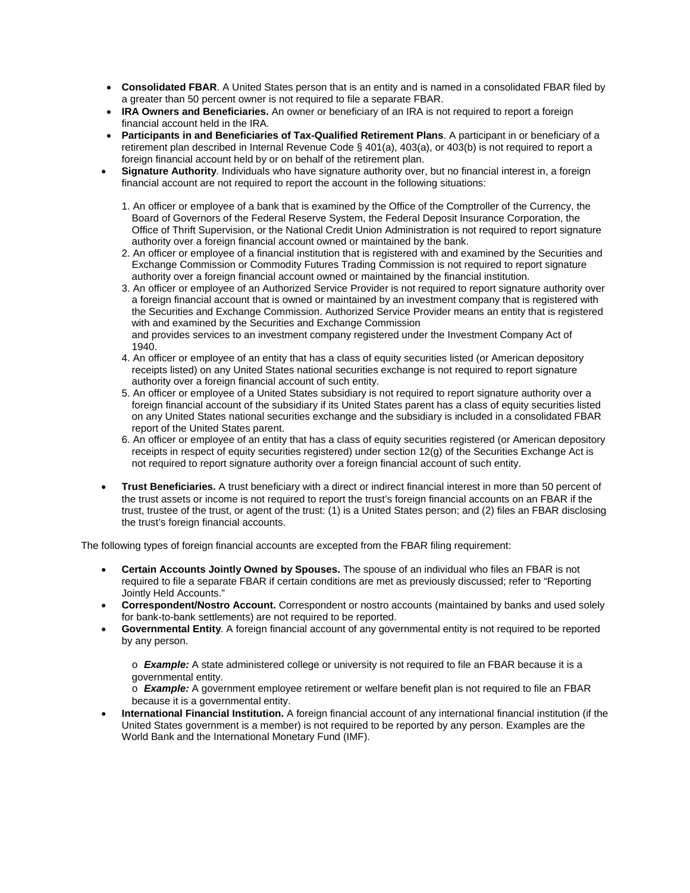- **Consolidated FBAR**. A United States person that is an entity and is named in a consolidated FBAR filed by a greater than 50 percent owner is not required to file a separate FBAR.
- **IRA Owners and Beneficiaries.** An owner or beneficiary of an IRA is not required to report a foreign financial account held in the IRA.
- **Participants in and Beneficiaries of Tax-Qualified Retirement Plans**. A participant in or beneficiary of a retirement plan described in Internal Revenue Code § 401(a), 403(a), or 403(b) is not required to report a foreign financial account held by or on behalf of the retirement plan.
- **Signature Authority**. Individuals who have signature authority over, but no financial interest in, a foreign financial account are not required to report the account in the following situations:
	- 1. An officer or employee of a bank that is examined by the Office of the Comptroller of the Currency, the Board of Governors of the Federal Reserve System, the Federal Deposit Insurance Corporation, the Office of Thrift Supervision, or the National Credit Union Administration is not required to report signature authority over a foreign financial account owned or maintained by the bank.
	- 2. An officer or employee of a financial institution that is registered with and examined by the Securities and Exchange Commission or Commodity Futures Trading Commission is not required to report signature authority over a foreign financial account owned or maintained by the financial institution.
	- 3. An officer or employee of an Authorized Service Provider is not required to report signature authority over a foreign financial account that is owned or maintained by an investment company that is registered with the Securities and Exchange Commission. Authorized Service Provider means an entity that is registered with and examined by the Securities and Exchange Commission and provides services to an investment company registered under the Investment Company Act of
	- 1940.
	- 4. An officer or employee of an entity that has a class of equity securities listed (or American depository receipts listed) on any United States national securities exchange is not required to report signature authority over a foreign financial account of such entity.
	- 5. An officer or employee of a United States subsidiary is not required to report signature authority over a foreign financial account of the subsidiary if its United States parent has a class of equity securities listed on any United States national securities exchange and the subsidiary is included in a consolidated FBAR report of the United States parent.
	- 6. An officer or employee of an entity that has a class of equity securities registered (or American depository receipts in respect of equity securities registered) under section 12(g) of the Securities Exchange Act is not required to report signature authority over a foreign financial account of such entity.
- **Trust Beneficiaries.** A trust beneficiary with a direct or indirect financial interest in more than 50 percent of the trust assets or income is not required to report the trust's foreign financial accounts on an FBAR if the trust, trustee of the trust, or agent of the trust: (1) is a United States person; and (2) files an FBAR disclosing the trust's foreign financial accounts.

The following types of foreign financial accounts are excepted from the FBAR filing requirement:

- **Certain Accounts Jointly Owned by Spouses.** The spouse of an individual who files an FBAR is not required to file a separate FBAR if certain conditions are met as previously discussed; refer to "Reporting Jointly Held Accounts."
- **Correspondent/Nostro Account.** Correspondent or nostro accounts (maintained by banks and used solely for bank-to-bank settlements) are not required to be reported.
- **Governmental Entity**. A foreign financial account of any governmental entity is not required to be reported by any person.

o *Example:* A state administered college or university is not required to file an FBAR because it is a governmental entity.

o *Example:* A government employee retirement or welfare benefit plan is not required to file an FBAR because it is a governmental entity.

• **International Financial Institution.** A foreign financial account of any international financial institution (if the United States government is a member) is not required to be reported by any person. Examples are the World Bank and the International Monetary Fund (IMF).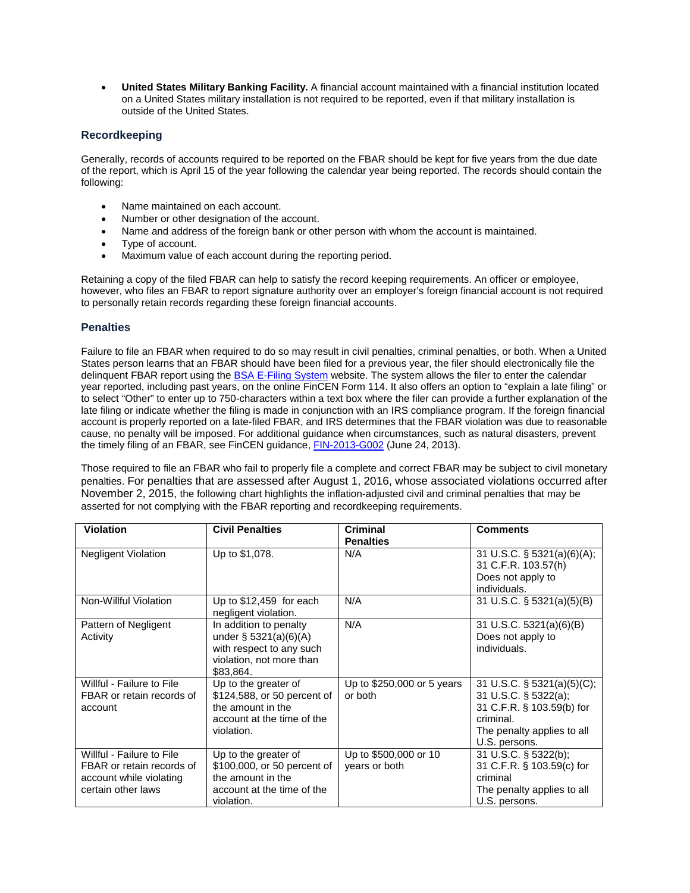• **United States Military Banking Facility.** A financial account maintained with a financial institution located on a United States military installation is not required to be reported, even if that military installation is outside of the United States.

# **Recordkeeping**

Generally, records of accounts required to be reported on the FBAR should be kept for five years from the due date of the report, which is April 15 of the year following the calendar year being reported. The records should contain the following:

- Name maintained on each account.
- Number or other designation of the account.
- Name and address of the foreign bank or other person with whom the account is maintained.
- Type of account.
- Maximum value of each account during the reporting period.

Retaining a copy of the filed FBAR can help to satisfy the record keeping requirements. An officer or employee, however, who files an FBAR to report signature authority over an employer's foreign financial account is not required to personally retain records regarding these foreign financial accounts.

#### **Penalties**

Failure to file an FBAR when required to do so may result in civil penalties, criminal penalties, or both. When a United States person learns that an FBAR should have been filed for a previous year, the filer should electronically file the delinguent FBAR report using th[e BSA E-Filing System](https://www.fiscal.treasury.gov/) website. The system allows the filer to enter the calendar year reported, including past years, on the online FinCEN Form 114. It also offers an option to "explain a late filing" or to select "Other" to enter up to 750-characters within a text box where the filer can provide a further explanation of the late filing or indicate whether the filing is made in conjunction with an IRS compliance program. If the foreign financial account is properly reported on a late-filed FBAR, and IRS determines that the FBAR violation was due to reasonable cause, no penalty will be imposed. For additional guidance when circumstances, such as natural disasters, prevent the timely filing of an FBAR, see FinCEN guidance, [FIN-2013-G002](https://www.fiscal.treasury.gov/) (June 24, 2013).

Those required to file an FBAR who fail to properly file a complete and correct FBAR may be subject to civil monetary penalties. For penalties that are assessed after August 1, 2016, whose associated violations occurred after November 2, 2015, the following chart highlights the inflation-adjusted civil and criminal penalties that may be asserted for not complying with the FBAR reporting and recordkeeping requirements.

| <b>Violation</b>                                                                                        | <b>Civil Penalties</b>                                                                                                  | <b>Criminal</b><br><b>Penalties</b>    | <b>Comments</b>                                                                                                                                |
|---------------------------------------------------------------------------------------------------------|-------------------------------------------------------------------------------------------------------------------------|----------------------------------------|------------------------------------------------------------------------------------------------------------------------------------------------|
| Negligent Violation                                                                                     | Up to \$1,078.                                                                                                          | N/A                                    | 31 U.S.C. $\S$ 5321(a)(6)(A);<br>31 C.F.R. 103.57(h)<br>Does not apply to<br>individuals.                                                      |
| Non-Willful Violation                                                                                   | Up to $$12,459$ for each<br>negligent violation.                                                                        | N/A                                    | 31 U.S.C. § 5321(a)(5)(B)                                                                                                                      |
| Pattern of Negligent<br>Activity                                                                        | In addition to penalty<br>under $\S 5321(a)(6)(A)$<br>with respect to any such<br>violation, not more than<br>\$83.864. | N/A                                    | 31 U.S.C. 5321(a)(6)(B)<br>Does not apply to<br>individuals.                                                                                   |
| Willful - Failure to File<br>FBAR or retain records of<br>account                                       | Up to the greater of<br>\$124,588, or 50 percent of<br>the amount in the<br>account at the time of the<br>violation.    | Up to \$250,000 or 5 years<br>or both  | 31 U.S.C. $\S$ 5321(a)(5)(C);<br>31 U.S.C. § 5322(a);<br>31 C.F.R. § 103.59(b) for<br>criminal.<br>The penalty applies to all<br>U.S. persons. |
| Willful - Failure to File<br>FBAR or retain records of<br>account while violating<br>certain other laws | Up to the greater of<br>\$100,000, or 50 percent of<br>the amount in the<br>account at the time of the<br>violation.    | Up to \$500,000 or 10<br>years or both | 31 U.S.C. § 5322(b);<br>31 C.F.R. § 103.59(c) for<br>criminal<br>The penalty applies to all<br>U.S. persons.                                   |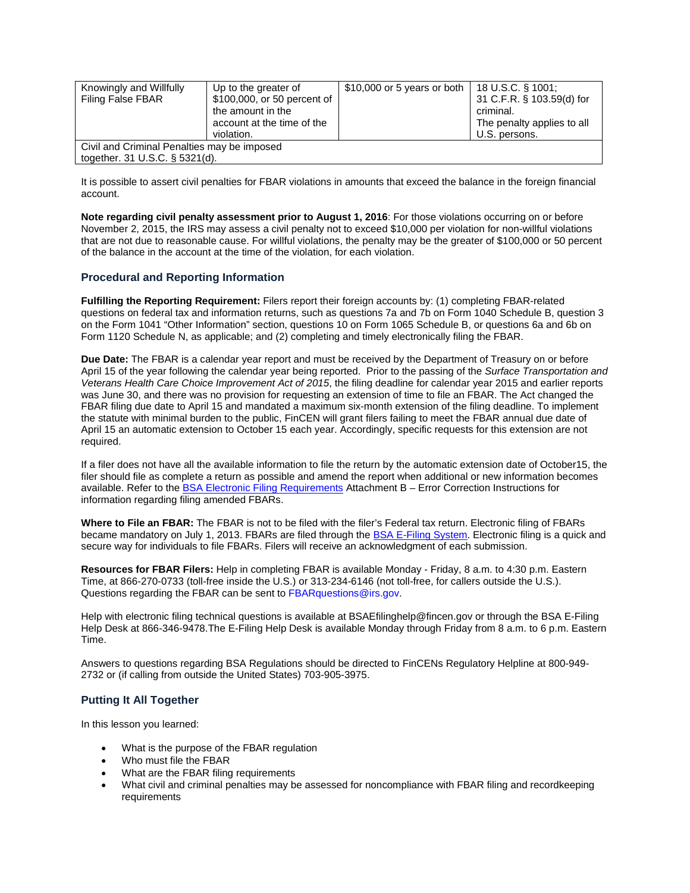| Knowingly and Willfully<br><b>Filing False FBAR</b>                           | Up to the greater of<br>\$100,000, or 50 percent of<br>the amount in the<br>account at the time of the<br>violation. | \$10,000 or 5 years or both | $18$ U.S.C. § 1001;<br>31 C.F.R. § 103.59(d) for<br>criminal.<br>The penalty applies to all<br>U.S. persons. |  |
|-------------------------------------------------------------------------------|----------------------------------------------------------------------------------------------------------------------|-----------------------------|--------------------------------------------------------------------------------------------------------------|--|
| Civil and Criminal Penalties may be imposed<br>together. 31 U.S.C. § 5321(d). |                                                                                                                      |                             |                                                                                                              |  |

It is possible to assert civil penalties for FBAR violations in amounts that exceed the balance in the foreign financial account.

**Note regarding civil penalty assessment prior to August 1, 2016**: For those violations occurring on or before November 2, 2015, the IRS may assess a civil penalty not to exceed \$10,000 per violation for non-willful violations that are not due to reasonable cause. For willful violations, the penalty may be the greater of \$100,000 or 50 percent of the balance in the account at the time of the violation, for each violation.

# **Procedural and Reporting Information**

**Fulfilling the Reporting Requirement:** Filers report their foreign accounts by: (1) completing FBAR-related questions on federal tax and information returns, such as questions 7a and 7b on Form 1040 Schedule B, question 3 on the Form 1041 "Other Information" section, questions 10 on Form 1065 Schedule B, or questions 6a and 6b on Form 1120 Schedule N, as applicable; and (2) completing and timely electronically filing the FBAR.

**Due Date:** The FBAR is a calendar year report and must be received by the Department of Treasury on or before April 15 of the year following the calendar year being reported. Prior to the passing of the *Surface Transportation and Veterans Health Care Choice Improvement Act of 2015*, the filing deadline for calendar year 2015 and earlier reports was June 30, and there was no provision for requesting an extension of time to file an FBAR. The Act changed the FBAR filing due date to April 15 and mandated a maximum six-month extension of the filing deadline. To implement the statute with minimal burden to the public, FinCEN will grant filers failing to meet the FBAR annual due date of April 15 an automatic extension to October 15 each year. Accordingly, specific requests for this extension are not required.

If a filer does not have all the available information to file the return by the automatic extension date of October15, the filer should file as complete a return as possible and amend the report when additional or new information becomes available. Refer to the [BSA Electronic Filing Requirements](https://www.fiscal.treasury.gov/) Attachment B – Error Correction Instructions for information regarding filing amended FBARs.

**Where to File an FBAR:** The FBAR is not to be filed with the filer's Federal tax return. Electronic filing of FBARs became mandatory on July 1, 2013. FBARs are filed through the [BSA E-Filing System.](https://www.fiscal.treasury.gov/) Electronic filing is a quick and secure way for individuals to file FBARs. Filers will receive an acknowledgment of each submission.

**Resources for FBAR Filers:** Help in completing FBAR is available Monday - Friday, 8 a.m. to 4:30 p.m. Eastern Time, at 866-270-0733 (toll-free inside the U.S.) or 313-234-6146 (not toll-free, for callers outside the U.S.). Questions regarding the FBAR can be sent to FBARquestions@irs.gov.

Help with electronic filing technical questions is available at BSAEfilinghelp@fincen.gov or through the BSA E-Filing Help Desk at 866-346-9478.The E-Filing Help Desk is available Monday through Friday from 8 a.m. to 6 p.m. Eastern Time.

Answers to questions regarding BSA Regulations should be directed to FinCENs Regulatory Helpline at 800-949- 2732 or (if calling from outside the United States) 703-905-3975.

# **Putting It All Together**

In this lesson you learned:

- What is the purpose of the FBAR regulation
- Who must file the FBAR
- What are the FBAR filing requirements
- What civil and criminal penalties may be assessed for noncompliance with FBAR filing and recordkeeping requirements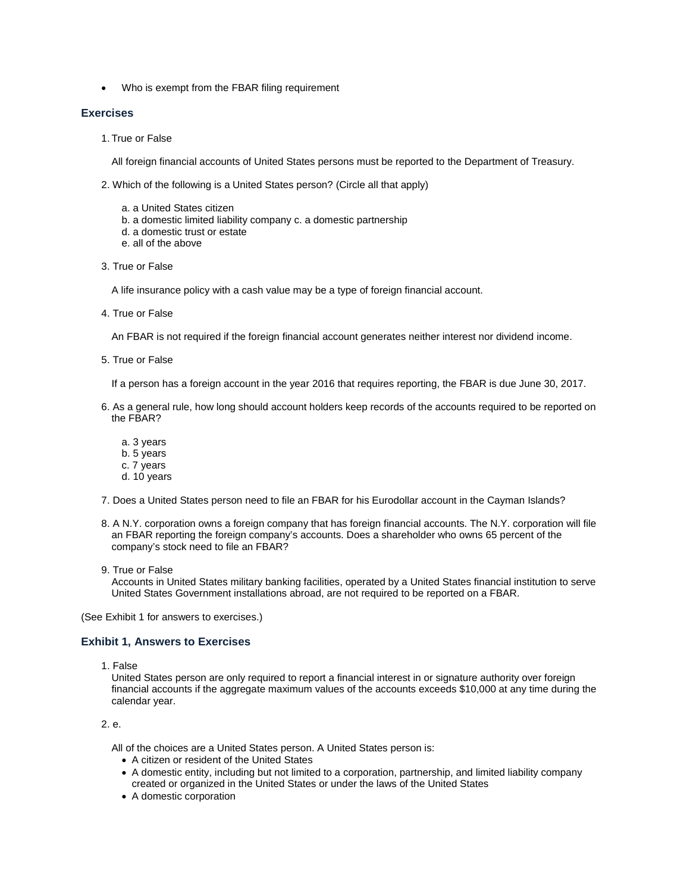• Who is exempt from the FBAR filing requirement

#### **Exercises**

1. True or False

All foreign financial accounts of United States persons must be reported to the Department of Treasury.

- 2. Which of the following is a United States person? (Circle all that apply)
	- a. a United States citizen
	- b. a domestic limited liability company c. a domestic partnership
	- d. a domestic trust or estate
	- e. all of the above
- 3. True or False

A life insurance policy with a cash value may be a type of foreign financial account.

4. True or False

An FBAR is not required if the foreign financial account generates neither interest nor dividend income.

5. True or False

If a person has a foreign account in the year 2016 that requires reporting, the FBAR is due June 30, 2017.

- 6. As a general rule, how long should account holders keep records of the accounts required to be reported on the FBAR?
	- a. 3 years
	- b. 5 years
	- c. 7 years
	- d. 10 years
- 7. Does a United States person need to file an FBAR for his Eurodollar account in the Cayman Islands?
- 8. A N.Y. corporation owns a foreign company that has foreign financial accounts. The N.Y. corporation will file an FBAR reporting the foreign company's accounts. Does a shareholder who owns 65 percent of the company's stock need to file an FBAR?
- 9. True or False

Accounts in United States military banking facilities, operated by a United States financial institution to serve United States Government installations abroad, are not required to be reported on a FBAR.

(See Exhibit 1 for answers to exercises.)

#### **Exhibit 1, Answers to Exercises**

1. False

United States person are only required to report a financial interest in or signature authority over foreign financial accounts if the aggregate maximum values of the accounts exceeds \$10,000 at any time during the calendar year.

# 2. e.

All of the choices are a United States person. A United States person is:

- A citizen or resident of the United States
- A domestic entity, including but not limited to a corporation, partnership, and limited liability company created or organized in the United States or under the laws of the United States
- A domestic corporation